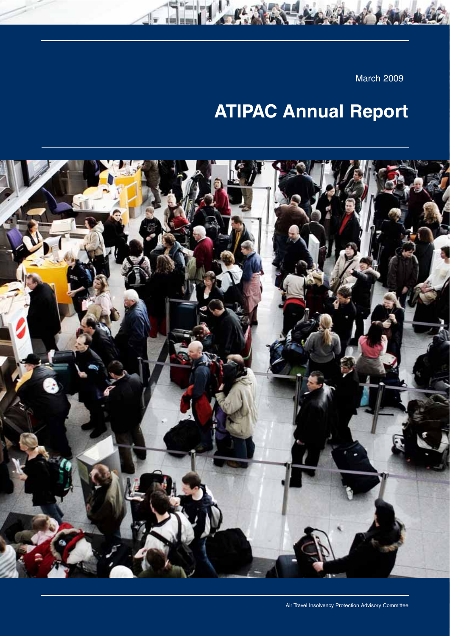March 2009

# **ATIPAC Annual Report**

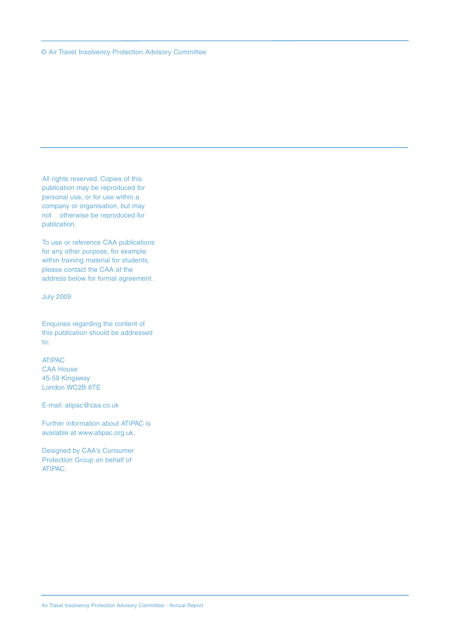All rights reserved. Copies of this publication may be reproduced for personal use, or for use within a company or organisation, but may not otherwise be reproduced for publication.

To use or reference CAA publications for any other purpose, for example within training material for students, please contact the CAA at the address below for formal agreement.

July 2009

Enquiries regarding the content of this publication should be addressed to:

ATIPAC CAA House 45-59 Kingsway London WC2B 6TE

E-mail: atipac@caa.co.uk

Further information about ATIPAC is available at www.atipac.org.uk.

Designed by CAA's Consumer Protection Group on behalf of ATIPAC.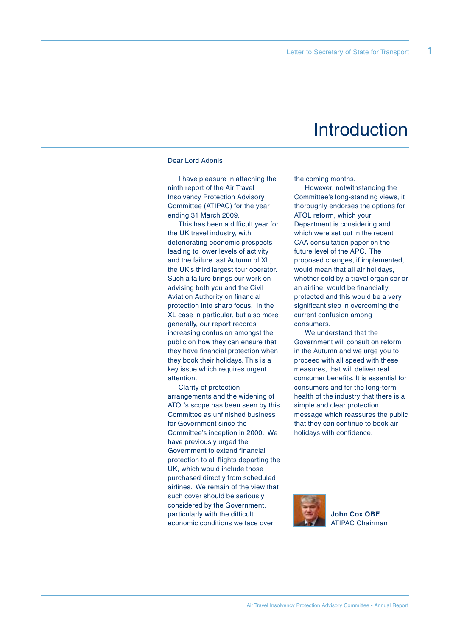**1**

### **Introduction**

#### Dear Lord Adonis

I have pleasure in attaching the ninth report of the Air Travel Insolvency Protection Advisory Committee (ATIPAC) for the year ending 31 March 2009.

This has been a difficult year for the UK travel industry, with deteriorating economic prospects leading to lower levels of activity and the failure last Autumn of XL, the UK's third largest tour operator. Such a failure brings our work on advising both you and the Civil Aviation Authority on financial protection into sharp focus. In the XL case in particular, but also more generally, our report records increasing confusion amongst the public on how they can ensure that they have financial protection when they book their holidays. This is a key issue which requires urgent attention.

Clarity of protection arrangements and the widening of ATOL's scope has been seen by this Committee as unfinished business for Government since the Committee's inception in 2000. We have previously urged the Government to extend financial protection to all flights departing the UK, which would include those purchased directly from scheduled airlines. We remain of the view that such cover should be seriously considered by the Government, particularly with the difficult economic conditions we face over

the coming months.

However, notwithstanding the Committee's long-standing views, it thoroughly endorses the options for ATOL reform, which your Department is considering and which were set out in the recent CAA consultation paper on the future level of the APC. The proposed changes, if implemented, would mean that all air holidays, whether sold by a travel organiser or an airline, would be financially protected and this would be a very significant step in overcoming the current confusion among consumers.

We understand that the Government will consult on reform in the Autumn and we urge you to proceed with all speed with these measures, that will deliver real consumer benefits. It is essential for consumers and for the long-term health of the industry that there is a simple and clear protection message which reassures the public that they can continue to book air holidays with confidence.



**John Cox OBE** ATIPAC Chairman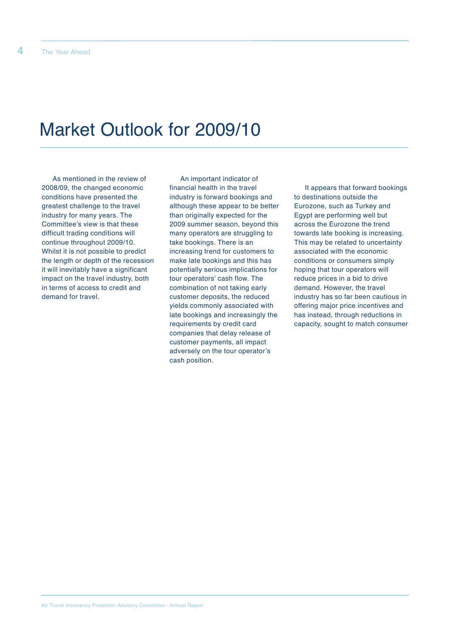## Market Outlook for 2009/10

As mentioned in the review of 2008/09, the changed economic conditions have presented the greatest challenge to the travel industry for many years. The Committee's view is that these difficult trading conditions will continue throughout 2009/10. Whilst it is not possible to predict the length or depth of the recession it will inevitably have a significant impact on the travel industry, both in terms of access to credit and demand for travel.

An important indicator of financial health in the travel industry is forward bookings and although these appear to be better than originally expected for the 2009 summer season, beyond this many operators are struggling to take bookings. There is an increasing trend for customers to make late bookings and this has potentially serious implications for tour operators' cash flow. The combination of not taking early customer deposits, the reduced yields commonly associated with late bookings and increasingly the requirements by credit card companies that delay release of customer payments, all impact adversely on the tour operator's cash position.

It appears that forward bookings to destinations outside the Eurozone, such as Turkey and Egypt are performing well but across the Eurozone the trend towards late booking is increasing. This may be related to uncertainty associated with the economic conditions or consumers simply hoping that tour operators will reduce prices in a bid to drive demand. However, the travel industry has so far been cautious in offering major price incentives and has instead, through reductions in capacity, sought to match consumer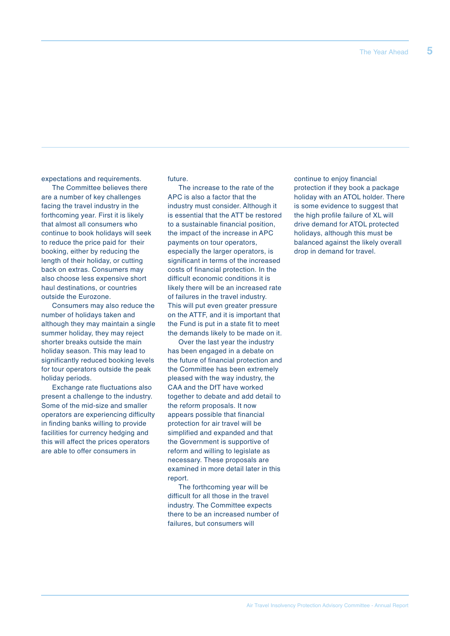expectations and requirements.

The Committee believes there are a number of key challenges facing the travel industry in the forthcoming year. First it is likely that almost all consumers who continue to book holidays will seek to reduce the price paid for their booking, either by reducing the length of their holiday, or cutting back on extras. Consumers may also choose less expensive short haul destinations, or countries outside the Eurozone.

Consumers may also reduce the number of holidays taken and although they may maintain a single summer holiday, they may reject shorter breaks outside the main holiday season. This may lead to significantly reduced booking levels for tour operators outside the peak holiday periods.

Exchange rate fluctuations also present a challenge to the industry. Some of the mid-size and smaller operators are experiencing difficulty in finding banks willing to provide facilities for currency hedging and this will affect the prices operators are able to offer consumers in

future.

The increase to the rate of the APC is also a factor that the industry must consider. Although it is essential that the ATT be restored to a sustainable financial position, the impact of the increase in APC payments on tour operators, especially the larger operators, is significant in terms of the increased costs of financial protection. In the difficult economic conditions it is likely there will be an increased rate of failures in the travel industry. This will put even greater pressure on the ATTF, and it is important that the Fund is put in a state fit to meet the demands likely to be made on it.

Over the last year the industry has been engaged in a debate on the future of financial protection and the Committee has been extremely pleased with the way industry, the CAA and the DfT have worked together to debate and add detail to the reform proposals. It now appears possible that financial protection for air travel will be simplified and expanded and that the Government is supportive of reform and willing to legislate as necessary. These proposals are examined in more detail later in this report.

The forthcoming year will be difficult for all those in the travel industry. The Committee expects there to be an increased number of failures, but consumers will

continue to enjoy financial protection if they book a package holiday with an ATOL holder. There is some evidence to suggest that the high profile failure of XL will drive demand for ATOL protected holidays, although this must be balanced against the likely overall drop in demand for travel.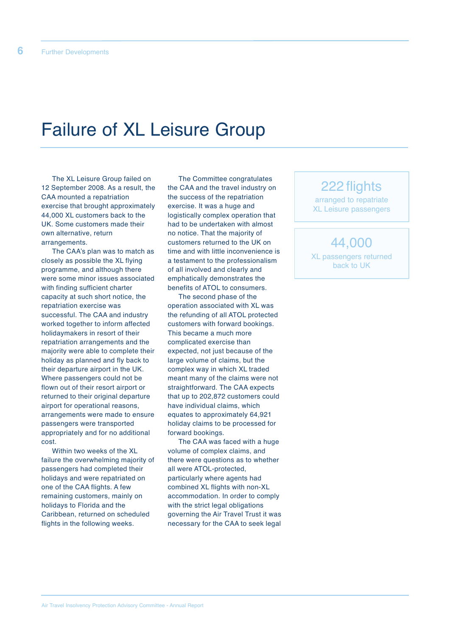## Failure of XL Leisure Group

The XL Leisure Group failed on 12 September 2008. As a result, the CAA mounted a repatriation exercise that brought approximately 44,000 XL customers back to the UK. Some customers made their own alternative, return arrangements.

The CAA's plan was to match as closely as possible the XL flying programme, and although there were some minor issues associated with finding sufficient charter capacity at such short notice, the repatriation exercise was successful. The CAA and industry worked together to inform affected holidaymakers in resort of their repatriation arrangements and the majority were able to complete their holiday as planned and fly back to their departure airport in the UK. Where passengers could not be flown out of their resort airport or returned to their original departure airport for operational reasons, arrangements were made to ensure passengers were transported appropriately and for no additional cost.

Within two weeks of the XL failure the overwhelming majority of passengers had completed their holidays and were repatriated on one of the CAA flights. A few remaining customers, mainly on holidays to Florida and the Caribbean, returned on scheduled flights in the following weeks.

The Committee congratulates the CAA and the travel industry on the success of the repatriation exercise. It was a huge and logistically complex operation that had to be undertaken with almost no notice. That the majority of customers returned to the UK on time and with little inconvenience is a testament to the professionalism of all involved and clearly and emphatically demonstrates the benefits of ATOL to consumers.

The second phase of the operation associated with XL was the refunding of all ATOL protected customers with forward bookings. This became a much more complicated exercise than expected, not just because of the large volume of claims, but the complex way in which XL traded meant many of the claims were not straightforward. The CAA expects that up to 202,872 customers could have individual claims, which equates to approximately 64,921 holiday claims to be processed for forward bookings.

The CAA was faced with a huge volume of complex claims, and there were questions as to whether all were ATOL-protected, particularly where agents had combined XL flights with non-XL accommodation. In order to comply with the strict legal obligations governing the Air Travel Trust it was necessary for the CAA to seek legal

### 222 flights

arranged to repatriate XL Leisure passengers

44,000 XL passengers returned back to UK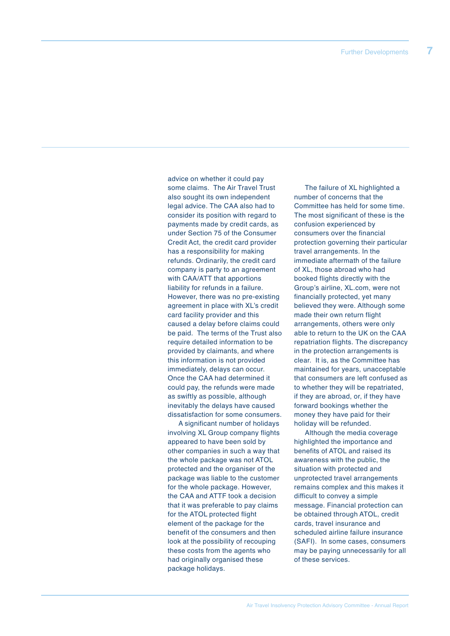advice on whether it could pay some claims. The Air Travel Trust also sought its own independent legal advice. The CAA also had to consider its position with regard to payments made by credit cards, as under Section 75 of the Consumer Credit Act, the credit card provider has a responsibility for making refunds. Ordinarily, the credit card company is party to an agreement with CAA/ATT that apportions liability for refunds in a failure. However, there was no pre-existing agreement in place with XL's credit card facility provider and this caused a delay before claims could be paid. The terms of the Trust also require detailed information to be provided by claimants, and where this information is not provided immediately, delays can occur. Once the CAA had determined it could pay, the refunds were made as swiftly as possible, although inevitably the delays have caused dissatisfaction for some consumers.

A significant number of holidays involving XL Group company flights appeared to have been sold by other companies in such a way that the whole package was not ATOL protected and the organiser of the package was liable to the customer for the whole package. However, the CAA and ATTF took a decision that it was preferable to pay claims for the ATOL protected flight element of the package for the benefit of the consumers and then look at the possibility of recouping these costs from the agents who had originally organised these package holidays.

The failure of XL highlighted a number of concerns that the Committee has held for some time. The most significant of these is the confusion experienced by consumers over the financial protection governing their particular travel arrangements. In the immediate aftermath of the failure of XL, those abroad who had booked flights directly with the Group's airline, XL.com, were not financially protected, yet many believed they were. Although some made their own return flight arrangements, others were only able to return to the UK on the CAA repatriation flights. The discrepancy in the protection arrangements is clear. It is, as the Committee has maintained for years, unacceptable that consumers are left confused as to whether they will be repatriated, if they are abroad, or, if they have forward bookings whether the money they have paid for their holiday will be refunded.

Although the media coverage highlighted the importance and benefits of ATOL and raised its awareness with the public, the situation with protected and unprotected travel arrangements remains complex and this makes it difficult to convey a simple message. Financial protection can be obtained through ATOL, credit cards, travel insurance and scheduled airline failure insurance (SAFI). In some cases, consumers may be paying unnecessarily for all of these services.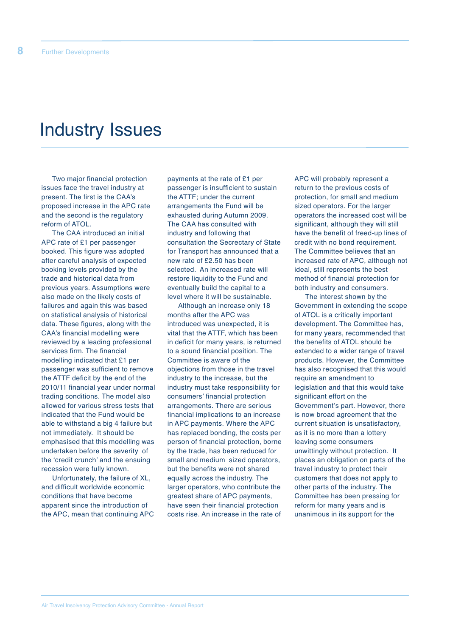## Industry Issues

Two major financial protection issues face the travel industry at present. The first is the CAA's proposed increase in the APC rate and the second is the regulatory reform of ATOL.

The CAA introduced an initial APC rate of £1 per passenger booked. This figure was adopted after careful analysis of expected booking levels provided by the trade and historical data from previous years. Assumptions were also made on the likely costs of failures and again this was based on statistical analysis of historical data. These figures, along with the CAA's financial modelling were reviewed by a leading professional services firm. The financial modelling indicated that £1 per passenger was sufficient to remove the ATTF deficit by the end of the 2010/11 financial year under normal trading conditions. The model also allowed for various stress tests that indicated that the Fund would be able to withstand a big 4 failure but not immediately. It should be emphasised that this modelling was undertaken before the severity of the ʻcredit crunch' and the ensuing recession were fully known.

Unfortunately, the failure of XL, and difficult worldwide economic conditions that have become apparent since the introduction of the APC, mean that continuing APC

payments at the rate of £1 per passenger is insufficient to sustain the ATTF; under the current arrangements the Fund will be exhausted during Autumn 2009. The CAA has consulted with industry and following that consultation the Secrectary of State for Transport has announced that a new rate of £2.50 has been selected. An increased rate will restore liquidity to the Fund and eventually build the capital to a level where it will be sustainable.

Although an increase only 18 months after the APC was introduced was unexpected, it is vital that the ATTF, which has been in deficit for many years, is returned to a sound financial position. The Committee is aware of the objections from those in the travel industry to the increase, but the industry must take responsibility for consumers' financial protection arrangements. There are serious financial implications to an increase in APC payments. Where the APC has replaced bonding, the costs per person of financial protection, borne by the trade, has been reduced for small and medium sized operators, but the benefits were not shared equally across the industry. The larger operators, who contribute the greatest share of APC payments, have seen their financial protection costs rise. An increase in the rate of APC will probably represent a return to the previous costs of protection, for small and medium sized operators. For the larger operators the increased cost will be significant, although they will still have the benefit of freed-up lines of credit with no bond requirement. The Committee believes that an increased rate of APC, although not ideal, still represents the best method of financial protection for both industry and consumers.

The interest shown by the Government in extending the scope of ATOL is a critically important development. The Committee has, for many years, recommended that the benefits of ATOL should be extended to a wider range of travel products. However, the Committee has also recognised that this would require an amendment to legislation and that this would take significant effort on the Government's part. However, there is now broad agreement that the current situation is unsatisfactory, as it is no more than a lottery leaving some consumers unwittingly without protection. It places an obligation on parts of the travel industry to protect their customers that does not apply to other parts of the industry. The Committee has been pressing for reform for many years and is unanimous in its support for the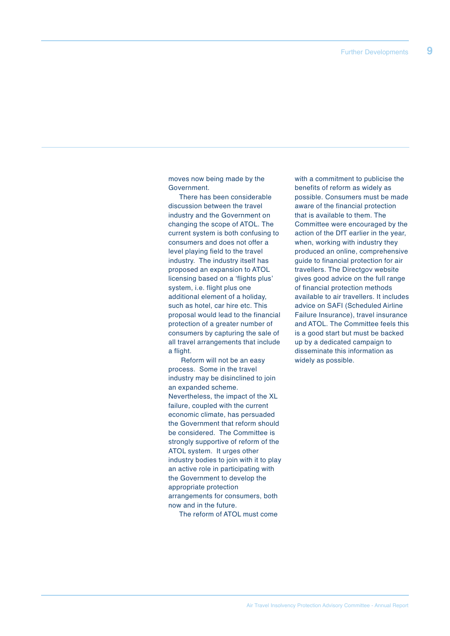moves now being made by the Government.

There has been considerable discussion between the travel industry and the Government on changing the scope of ATOL. The current system is both confusing to consumers and does not offer a level playing field to the travel industry. The industry itself has proposed an expansion to ATOL licensing based on a ʻflights plus' system, i.e. flight plus one additional element of a holiday, such as hotel, car hire etc. This proposal would lead to the financial protection of a greater number of consumers by capturing the sale of all travel arrangements that include a flight.

Reform will not be an easy process. Some in the travel industry may be disinclined to join an expanded scheme. Nevertheless, the impact of the XL failure, coupled with the current economic climate, has persuaded the Government that reform should be considered. The Committee is strongly supportive of reform of the ATOL system. It urges other industry bodies to join with it to play an active role in participating with the Government to develop the appropriate protection arrangements for consumers, both now and in the future.

The reform of ATOL must come

with a commitment to publicise the benefits of reform as widely as possible. Consumers must be made aware of the financial protection that is available to them. The Committee were encouraged by the action of the DfT earlier in the year, when, working with industry they produced an online, comprehensive guide to financial protection for air travellers. The Directgov website gives good advice on the full range of financial protection methods available to air travellers. It includes advice on SAFI (Scheduled Airline Failure Insurance), travel insurance and ATOL. The Committee feels this is a good start but must be backed up by a dedicated campaign to disseminate this information as widely as possible.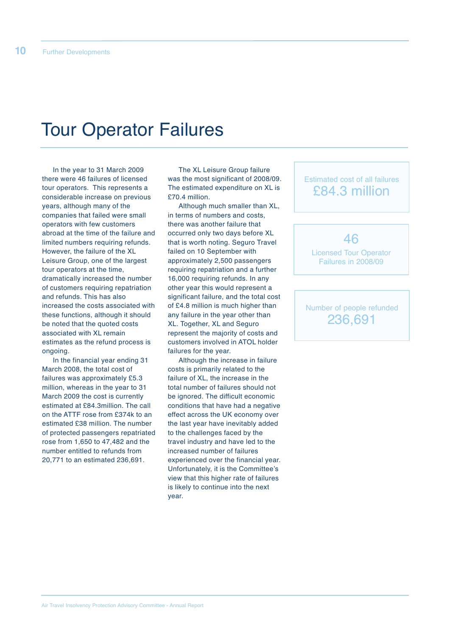## Tour Operator Failures

In the year to 31 March 2009 there were 46 failures of licensed tour operators. This represents a considerable increase on previous years, although many of the companies that failed were small operators with few customers abroad at the time of the failure and limited numbers requiring refunds. However, the failure of the XL Leisure Group, one of the largest tour operators at the time, dramatically increased the number of customers requiring repatriation and refunds. This has also increased the costs associated with these functions, although it should be noted that the quoted costs associated with XL remain estimates as the refund process is ongoing.

In the financial year ending 31 March 2008, the total cost of failures was approximately £5.3 million, whereas in the year to 31 March 2009 the cost is currently estimated at £84.3million. The call on the ATTF rose from £374k to an estimated £38 million. The number of protected passengers repatriated rose from 1,650 to 47,482 and the number entitled to refunds from 20,771 to an estimated 236,691.

The XL Leisure Group failure was the most significant of 2008/09. The estimated expenditure on XL is £70.4 million.

Although much smaller than XL, in terms of numbers and costs, there was another failure that occurred only two days before XL that is worth noting. Seguro Travel failed on 10 September with approximately 2,500 passengers requiring repatriation and a further 16,000 requiring refunds. In any other year this would represent a significant failure, and the total cost of £4.8 million is much higher than any failure in the year other than XL. Together, XL and Seguro represent the majority of costs and customers involved in ATOL holder failures for the year.

Although the increase in failure costs is primarily related to the failure of XL, the increase in the total number of failures should not be ignored. The difficult economic conditions that have had a negative effect across the UK economy over the last year have inevitably added to the challenges faced by the travel industry and have led to the increased number of failures experienced over the financial year. Unfortunately, it is the Committee's view that this higher rate of failures is likely to continue into the next year.

### Estimated cost of all failures £84.3 million

46

Licensed Tour Operator Failures in 2008/09

### Number of people refunded 236,691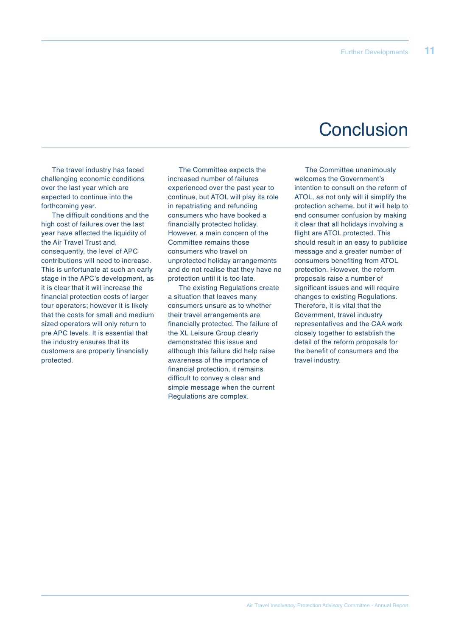## **Conclusion**

The travel industry has faced challenging economic conditions over the last year which are expected to continue into the forthcoming year.

The difficult conditions and the high cost of failures over the last year have affected the liquidity of the Air Travel Trust and, consequently, the level of APC contributions will need to increase. This is unfortunate at such an early stage in the APC's development, as it is clear that it will increase the financial protection costs of larger tour operators; however it is likely that the costs for small and medium sized operators will only return to pre APC levels. It is essential that the industry ensures that its customers are properly financially protected.

The Committee expects the increased number of failures experienced over the past year to continue, but ATOL will play its role in repatriating and refunding consumers who have booked a financially protected holiday. However, a main concern of the Committee remains those consumers who travel on unprotected holiday arrangements and do not realise that they have no protection until it is too late.

The existing Regulations create a situation that leaves many consumers unsure as to whether their travel arrangements are financially protected. The failure of the XL Leisure Group clearly demonstrated this issue and although this failure did help raise awareness of the importance of financial protection, it remains difficult to convey a clear and simple message when the current Regulations are complex.

The Committee unanimously welcomes the Government's intention to consult on the reform of ATOL, as not only will it simplify the protection scheme, but it will help to end consumer confusion by making it clear that all holidays involving a flight are ATOL protected. This should result in an easy to publicise message and a greater number of consumers benefiting from ATOL protection. However, the reform proposals raise a number of significant issues and will require changes to existing Regulations. Therefore, it is vital that the Government, travel industry representatives and the CAA work closely together to establish the detail of the reform proposals for the benefit of consumers and the travel industry.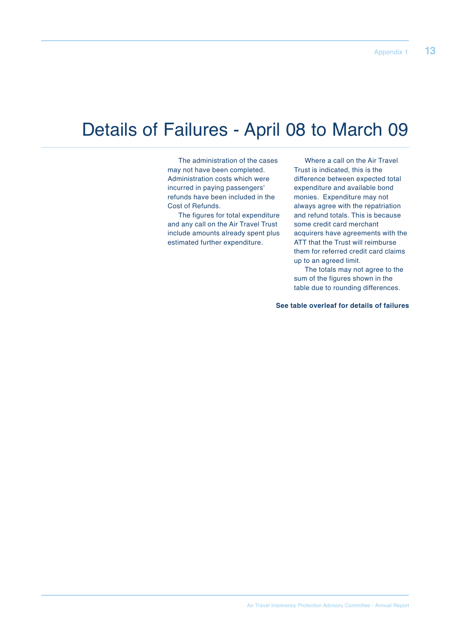## Details of Failures - April 08 to March 09

The administration of the cases may not have been completed. Administration costs which were incurred in paying passengers' refunds have been included in the Cost of Refunds.

The figures for total expenditure and any call on the Air Travel Trust include amounts already spent plus estimated further expenditure.

Where a call on the Air Travel Trust is indicated, this is the difference between expected total expenditure and available bond monies. Expenditure may not always agree with the repatriation and refund totals. This is because some credit card merchant acquirers have agreements with the ATT that the Trust will reimburse them for referred credit card claims up to an agreed limit.

The totals may not agree to the sum of the figures shown in the table due to rounding differences.

**See table overleaf for details of failures**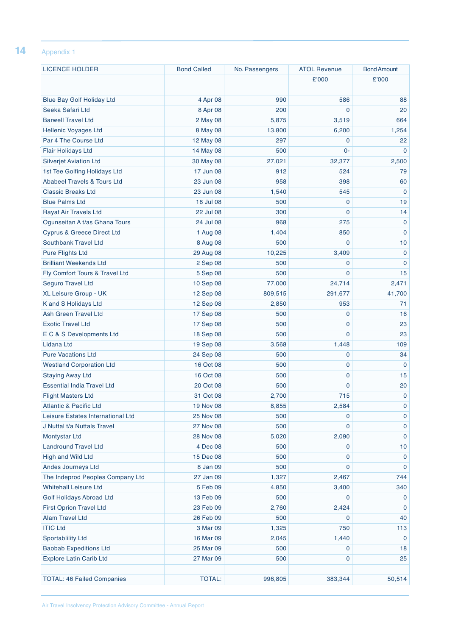### **14** Appendix <sup>1</sup>

| <b>LICENCE HOLDER</b>                  | <b>Bond Called</b> | No. Passengers | <b>ATOL Revenue</b> | <b>Bond Amount</b> |
|----------------------------------------|--------------------|----------------|---------------------|--------------------|
|                                        |                    |                | £'000               | £'000              |
|                                        |                    |                |                     |                    |
| <b>Blue Bay Golf Holiday Ltd</b>       | 4 Apr 08           | 990            | 586                 | 88                 |
| Seeka Safari Ltd                       | 8 Apr 08           | 200            | $\mathbf 0$         | 20                 |
| <b>Barwell Travel Ltd</b>              | 2 May 08           | 5,875          | 3,519               | 664                |
| <b>Hellenic Voyages Ltd</b>            | 8 May 08           | 13,800         | 6,200               | 1,254              |
| Par 4 The Course Ltd                   | 12 May 08          | 297            | 0                   | 22                 |
| <b>Flair Holidays Ltd</b>              | 14 May 08          | 500            | 0-                  | $\Omega$           |
| <b>Silverjet Aviation Ltd</b>          | 30 May 08          | 27,021         | 32,377              | 2,500              |
| 1st Tee Golfing Holidays Ltd           | 17 Jun 08          | 912            | 524                 | 79                 |
| <b>Ababeel Travels &amp; Tours Ltd</b> | 23 Jun 08          | 958            | 398                 | 60                 |
| <b>Classic Breaks Ltd</b>              | 23 Jun 08          | 1,540          | 545                 | $\mathbf 0$        |
| <b>Blue Palms Ltd</b>                  | 18 Jul 08          | 500            | $\mathbf 0$         | 19                 |
| <b>Rayat Air Travels Ltd</b>           | 22 Jul 08          | 300            | $\mathbf{0}$        | 14                 |
| Ogunseitan A t/as Ghana Tours          | 24 Jul 08          | 968            | 275                 | $\mathbf 0$        |
| <b>Cyprus &amp; Greece Direct Ltd</b>  | 1 Aug 08           | 1,404          | 850                 | $\mathbf{0}$       |
| Southbank Travel Ltd                   | 8 Aug 08           | 500            | $\mathbf 0$         | 10                 |
| <b>Pure Flights Ltd</b>                | 29 Aug 08          | 10,225         | 3,409               | $\mathbf 0$        |
| <b>Brilliant Weekends Ltd</b>          | 2 Sep 08           | 500            | $\mathbf 0$         | $\mathbf{0}$       |
| Fly Comfort Tours & Travel Ltd         | 5 Sep 08           | 500            | $\mathbf 0$         | 15                 |
| <b>Seguro Travel Ltd</b>               | 10 Sep 08          | 77,000         | 24,714              | 2,471              |
| XL Leisure Group - UK                  | 12 Sep 08          | 809,515        | 291,677             | 41,700             |
| K and S Holidays Ltd                   | 12 Sep 08          | 2,850          | 953                 | 71                 |
| <b>Ash Green Travel Ltd</b>            | 17 Sep 08          | 500            | $\mathbf 0$         | 16                 |
| <b>Exotic Travel Ltd</b>               | 17 Sep 08          | 500            | $\mathbf 0$         | 23                 |
| E C & S Developments Ltd               | 18 Sep 08          | 500            | $\mathbf{0}$        | 23                 |
| Lidana Ltd                             | 19 Sep 08          | 3,568          | 1,448               | 109                |
| <b>Pure Vacations Ltd</b>              | 24 Sep 08          | 500            | $\mathbf 0$         | 34                 |
| <b>Westland Corporation Ltd</b>        | 16 Oct 08          | 500            | 0                   | $\mathbf 0$        |
| <b>Staying Away Ltd</b>                | 16 Oct 08          | 500            | $\mathbf 0$         | 15                 |
| <b>Essential India Travel Ltd</b>      | 20 Oct 08          | 500            | $\mathbf 0$         | 20                 |
| <b>Flight Masters Ltd</b>              | 31 Oct 08          | 2,700          | 715                 | $\mathbf 0$        |
| <b>Atlantic &amp; Pacific Ltd</b>      | 19 Nov 08          | 8,855          | 2,584               | 0                  |
| Leisure Estates International Ltd      | 25 Nov 08          | 500            | $\mathbf 0$         | $\mathbf 0$        |
| J Nuttal t/a Nuttals Travel            | <b>27 Nov 08</b>   | 500            | $\mathbf 0$         | $\mathbf 0$        |
| <b>Montystar Ltd</b>                   | <b>28 Nov 08</b>   | 5,020          | 2,090               | $\mathbf 0$        |
| <b>Landround Travel Ltd</b>            | 4 Dec 08           | 500            | 0                   | 10                 |
| High and Wild Ltd                      | 15 Dec 08          | 500            | $\mathbf 0$         | $\mathbf 0$        |
| Andes Journeys Ltd                     | 8 Jan 09           | 500            | $\mathbf 0$         | $\mathbf 0$        |
| The Indeprod Peoples Company Ltd       | 27 Jan 09          | 1,327          | 2,467               | 744                |
| <b>Whitehall Leisure Ltd</b>           | 5 Feb 09           | 4,850          | 3,400               | 340                |
| <b>Golf Holidays Abroad Ltd</b>        | 13 Feb 09          | 500            | $\mathbf 0$         | $\mathbf 0$        |
| <b>First Oprion Travel Ltd</b>         | 23 Feb 09          | 2,760          | 2,424               | $\mathbf 0$        |
| <b>Alam Travel Ltd</b>                 | 26 Feb 09          | 500            | $\mathbf 0$         | 40                 |
| <b>ITIC Ltd</b>                        | 3 Mar 09           | 1,325          | 750                 | 113                |
| <b>Sportablility Ltd</b>               | 16 Mar 09          | 2,045          | 1,440               | $\mathbf 0$        |
| <b>Baobab Expeditions Ltd</b>          | 25 Mar 09          | 500            | 0                   | 18                 |
| <b>Explore Latin Carib Ltd</b>         | 27 Mar 09          | 500            | $\mathbf 0$         | 25                 |
|                                        |                    |                |                     |                    |
| <b>TOTAL: 46 Failed Companies</b>      | <b>TOTAL:</b>      | 996,805        | 383,344             | 50,514             |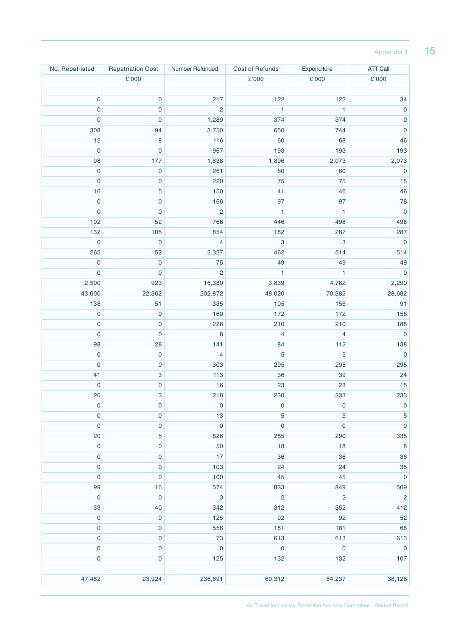### Appendix 1 **15**

| No. Repatriated | <b>Repatriation Cost</b>  | Number Refunded           | <b>Cost of Refunds</b> | Expenditure               | <b>ATT Call</b> |
|-----------------|---------------------------|---------------------------|------------------------|---------------------------|-----------------|
|                 | £'000                     |                           | £'000                  | £'000                     | £'000           |
|                 |                           |                           |                        |                           |                 |
| $\mathbf 0$     | $\pmb{0}$                 | 217                       | 122                    | 122                       | 34              |
| $\mathbf 0$     | $\pmb{0}$                 | $\overline{c}$            | 1                      | $\mathbf{1}$              | $\pmb{0}$       |
| $\mathbf 0$     | $\mathbf 0$               | 1,289                     | 374                    | 374                       | $\pmb{0}$       |
| 308             | 94                        | 3,750                     | 650                    | 744                       | $\pmb{0}$       |
| 12              | 8                         | 116                       | 60                     | 68                        | 46              |
| $\mathbf 0$     | $\pmb{0}$                 | 967                       | 193                    | 193                       | 193             |
| 98              | 177                       | 1,838                     | 1,896                  | 2,073                     | 2,073           |
| $\pmb{0}$       | $\pmb{0}$                 | 261                       | 60                     | 60                        | $\pmb{0}$       |
| $\mathbf 0$     | $\pmb{0}$                 | 220                       | 75                     | 75                        | 15              |
| 16              | 5                         | 150                       | 41                     | 46                        | 46              |
| $\bf 0$         | $\pmb{0}$                 | 166                       | 97                     | 97                        | 78              |
| $\bf 0$         | $\pmb{0}$                 | $\overline{\mathbf{c}}$   | 1                      | 1                         | $\pmb{0}$       |
| 102             | 52                        | 766                       | 446                    | 498                       | 498             |
| 132             | 105                       | 854                       | 182                    | 287                       | 287             |
| $\mathbf 0$     | $\mathbf 0$               | 4                         | 3                      | $\ensuremath{\mathsf{3}}$ | $\pmb{0}$       |
| 265             | 52                        | 2,327                     | 462                    | 514                       | 514             |
| $\mathbf 0$     | $\mathbf 0$               | 75                        | 49                     | 49                        | 49              |
| $\mathbf 0$     | $\pmb{0}$                 | $\overline{c}$            | 1                      | 1                         | $\pmb{0}$       |
| 2,500           | 923                       | 16,380                    | 3,839                  | 4,762                     | 2,290           |
|                 |                           |                           |                        |                           |                 |
| 43,600          | 22,362                    | 202,872                   | 48,020                 | 70,382                    | 28,682<br>91    |
| 138             | 51                        | 335                       | 105                    | 156                       |                 |
| $\bf{0}$        | $\pmb{0}$                 | 160                       | 172                    | 172                       | 156             |
| $\mathbf 0$     | $\pmb{0}$                 | 228                       | 210                    | 210                       | 188             |
| $\mathbf 0$     | $\pmb{0}$                 | 8                         | 4                      | 4                         | $\pmb{0}$       |
| 98              | 28                        | 141                       | 84                     | 112                       | 138             |
| $\pmb{0}$       | $\pmb{0}$                 | 4                         | 5                      | $\sqrt{5}$                | $\pmb{0}$       |
| $\bf 0$         | $\pmb{0}$                 | 303                       | 295                    | 295                       | 295             |
| 41              | $\ensuremath{\mathsf{3}}$ | 113                       | 36                     | 39                        | 24              |
| $\mathbf 0$     | $\pmb{0}$                 | 16                        | 23                     | 23                        | 15              |
| 20              | 3                         | 218                       | 230                    | 233                       | 233             |
| $\bf{0}$        | $\pmb{0}$                 | $\bf{0}$                  | $\bf{0}$               | $\pmb{0}$                 | $\pmb{0}$       |
| $\pmb{0}$       | $\pmb{0}$                 | 13                        | 5                      | $\sqrt{5}$                | $\sqrt{5}$      |
| $\mathbf 0$     | $\pmb{0}$                 | $\pmb{0}$                 | $\mathbf 0$            | $\pmb{0}$                 | $\pmb{0}$       |
| 20              | 5                         | 826                       | 285                    | 290                       | 335             |
| $\pmb{0}$       | $\pmb{0}$                 | 50                        | 18                     | 18                        | $\bf 8$         |
| $\pmb{0}$       | $\pmb{0}$                 | 17                        | 36                     | 36                        | 36              |
| $\pmb{0}$       | $\pmb{0}$                 | 103                       | 24                     | 24                        | 35              |
| $\pmb{0}$       | $\pmb{0}$                 | 100                       | 45                     | 45                        | $\pmb{0}$       |
| 99              | 16                        | 574                       | 833                    | 849                       | 509             |
| $\pmb{0}$       | $\pmb{0}$                 | $\ensuremath{\mathsf{3}}$ | $\mathbf 2$            | $\overline{c}$            | $\overline{c}$  |
| 33              | 40                        | 342                       | 312                    | 352                       | 412             |
| $\pmb{0}$       | $\pmb{0}$                 | 125                       | 92                     | 92                        | 52              |
| $\pmb{0}$       | $\pmb{0}$                 | 556                       | 181                    | 181                       | 68              |
| $\pmb{0}$       | $\pmb{0}$                 | $73\,$                    | 613                    | 613                       | 613             |
| $\mathbf 0$     | $\pmb{0}$                 | $\pmb{0}$                 | $\pmb{0}$              | $\pmb{0}$                 | $\mathbf 0$     |
| $\mathbf 0$     | $\pmb{0}$                 | 125                       | 132                    | 132                       | 107             |
|                 |                           |                           |                        |                           |                 |
| 47,482          | 23,924                    | 236,691                   | 60,312                 | 84,237                    | 38,126          |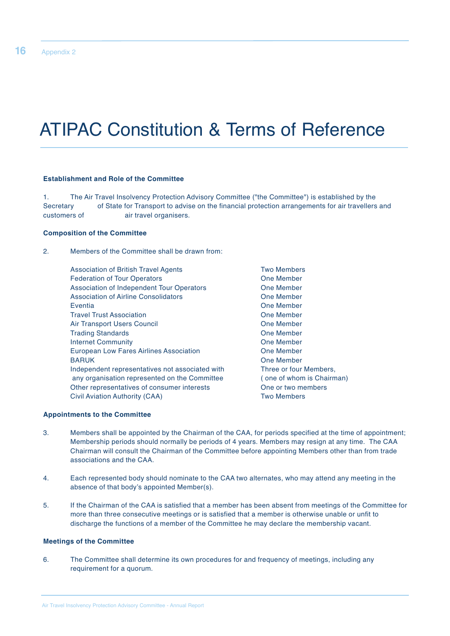## ATIPAC Constitution & Terms of Reference

#### **Establishment and Role of the Committee**

1. The Air Travel Insolvency Protection Advisory Committee ("the Committee") is established by the Secretary of State for Transport to advise on the financial protection arrangements for air travellers and customers of **air travel organisers**.

#### **Composition of the Committee**

2. Members of the Committee shall be drawn from:

Association of British Travel Agents Two Members Federation of Tour Operators **Cone Cone Server Cone Member** Association of Independent Tour Operators **Coney Coney Member** Association of Airline Consolidators **Consolidators** One Member Eventia One Member Travel Trust Association **Travel Trust Association** Change Change Change Change Change Change Change Change Change Change Change Change Change Change Change Change Change Change Change Change Change Change Change Change Ch Air Transport Users Council **Community** Cone Member Trading Standards **Trading Standards Cone Member** Internet Community<br>
Furonean Low Eares Airlines Association<br>
One Member European Low Fares Airlines Association BARUK **DESIGNATION** One Member Independent representatives not associated with Three or four Members, any organisation represented on the Committee ( one of whom is Chairman) Other representatives of consumer interests One or two members Civil Aviation Authority (CAA) Two Members

#### **Appointments to the Committee**

- 3. Members shall be appointed by the Chairman of the CAA, for periods specified at the time of appointment; Membership periods should normally be periods of 4 years. Members may resign at any time. The CAA Chairman will consult the Chairman of the Committee before appointing Members other than from trade associations and the CAA.
- 4. Each represented body should nominate to the CAA two alternates, who may attend any meeting in the absence of that body's appointed Member(s).
- 5. If the Chairman of the CAA is satisfied that a member has been absent from meetings of the Committee for more than three consecutive meetings or is satisfied that a member is otherwise unable or unfit to discharge the functions of a member of the Committee he may declare the membership vacant.

### **Meetings of the Committee**

6. The Committee shall determine its own procedures for and frequency of meetings, including any requirement for a quorum.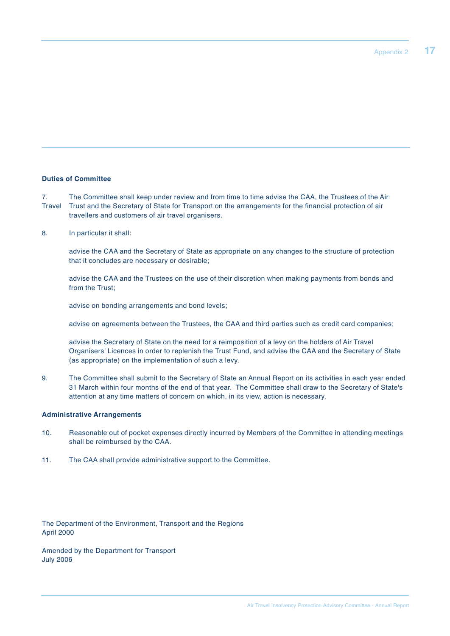### **Duties of Committee**

7. The Committee shall keep under review and from time to time advise the CAA, the Trustees of the Air Travel Trust and the Secretary of State for Transport on the arrangements for the financial protection of air travellers and customers of air travel organisers.

8. In particular it shall:

advise the CAA and the Secretary of State as appropriate on any changes to the structure of protection that it concludes are necessary or desirable;

advise the CAA and the Trustees on the use of their discretion when making payments from bonds and from the Trust;

advise on bonding arrangements and bond levels;

advise on agreements between the Trustees, the CAA and third parties such as credit card companies;

advise the Secretary of State on the need for a reimposition of a levy on the holders of Air Travel Organisers' Licences in order to replenish the Trust Fund, and advise the CAA and the Secretary of State (as appropriate) on the implementation of such a levy.

9. The Committee shall submit to the Secretary of State an Annual Report on its activities in each year ended 31 March within four months of the end of that year. The Committee shall draw to the Secretary of State's attention at any time matters of concern on which, in its view, action is necessary.

#### **Administrative Arrangements**

- 10. Reasonable out of pocket expenses directly incurred by Members of the Committee in attending meetings shall be reimbursed by the CAA.
- 11. The CAA shall provide administrative support to the Committee.

The Department of the Environment, Transport and the Regions April 2000

Amended by the Department for Transport July 2006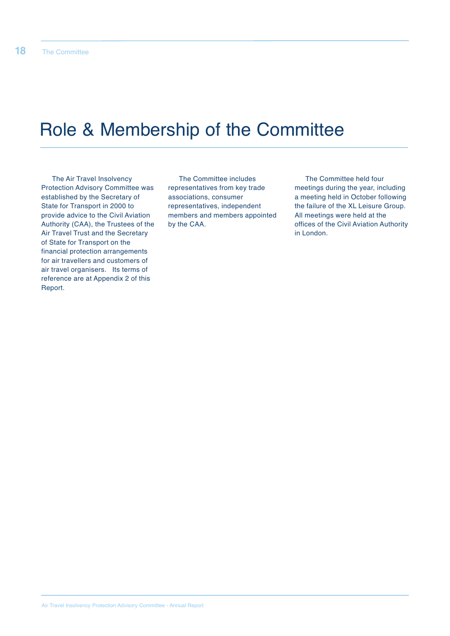## Role & Membership of the Committee

The Air Travel Insolvency Protection Advisory Committee was established by the Secretary of State for Transport in 2000 to provide advice to the Civil Aviation Authority (CAA), the Trustees of the Air Travel Trust and the Secretary of State for Transport on the financial protection arrangements for air travellers and customers of air travel organisers. Its terms of reference are at Appendix 2 of this Report.

The Committee includes representatives from key trade associations, consumer representatives, independent members and members appointed by the CAA.

The Committee held four meetings during the year, including a meeting held in October following the failure of the XL Leisure Group. All meetings were held at the offices of the Civil Aviation Authority in London.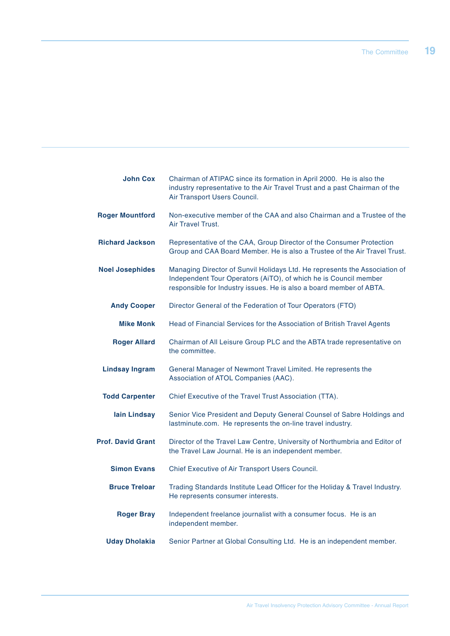| <b>John Cox</b>          | Chairman of ATIPAC since its formation in April 2000. He is also the<br>industry representative to the Air Travel Trust and a past Chairman of the<br>Air Transport Users Council.                                    |
|--------------------------|-----------------------------------------------------------------------------------------------------------------------------------------------------------------------------------------------------------------------|
| <b>Roger Mountford</b>   | Non-executive member of the CAA and also Chairman and a Trustee of the<br>Air Travel Trust.                                                                                                                           |
| <b>Richard Jackson</b>   | Representative of the CAA, Group Director of the Consumer Protection<br>Group and CAA Board Member. He is also a Trustee of the Air Travel Trust.                                                                     |
| <b>Noel Josephides</b>   | Managing Director of Sunvil Holidays Ltd. He represents the Association of<br>Independent Tour Operators (AiTO), of which he is Council member<br>responsible for Industry issues. He is also a board member of ABTA. |
| <b>Andy Cooper</b>       | Director General of the Federation of Tour Operators (FTO)                                                                                                                                                            |
| <b>Mike Monk</b>         | Head of Financial Services for the Association of British Travel Agents                                                                                                                                               |
| <b>Roger Allard</b>      | Chairman of All Leisure Group PLC and the ABTA trade representative on<br>the committee.                                                                                                                              |
| <b>Lindsay Ingram</b>    | General Manager of Newmont Travel Limited. He represents the<br>Association of ATOL Companies (AAC).                                                                                                                  |
| <b>Todd Carpenter</b>    | Chief Executive of the Travel Trust Association (TTA).                                                                                                                                                                |
| lain Lindsay             | Senior Vice President and Deputy General Counsel of Sabre Holdings and<br>lastminute.com. He represents the on-line travel industry.                                                                                  |
| <b>Prof. David Grant</b> | Director of the Travel Law Centre, University of Northumbria and Editor of<br>the Travel Law Journal. He is an independent member.                                                                                    |
| <b>Simon Evans</b>       | Chief Executive of Air Transport Users Council.                                                                                                                                                                       |
| <b>Bruce Treloar</b>     | Trading Standards Institute Lead Officer for the Holiday & Travel Industry.<br>He represents consumer interests.                                                                                                      |
| <b>Roger Bray</b>        | Independent freelance journalist with a consumer focus. He is an<br>independent member.                                                                                                                               |
| <b>Uday Dholakia</b>     | Senior Partner at Global Consulting Ltd. He is an independent member.                                                                                                                                                 |